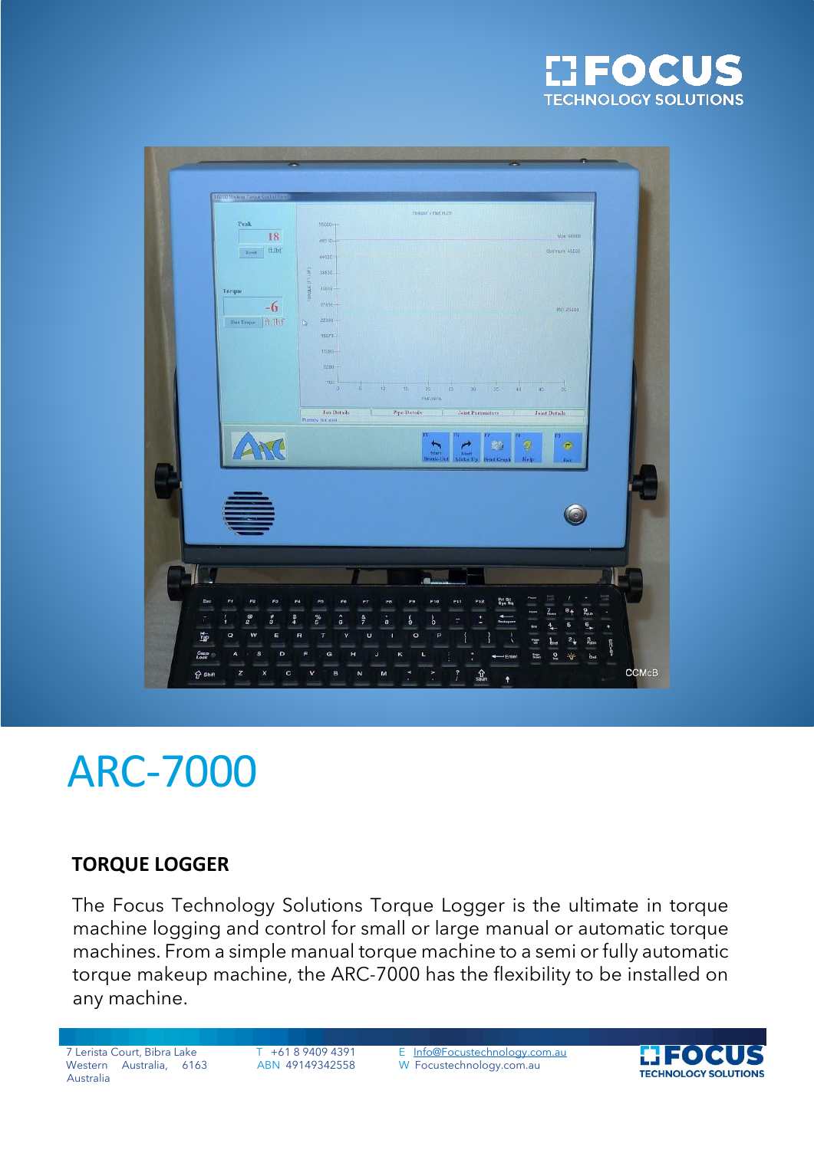



# ARC-7000

### **TORQUE LOGGER**

The Focus Technology Solutions Torque Logger is the ultimate in torque machine logging and control for small or large manual or automatic torque machines. From a simple manual torque machine to a semi or fully automatic torque makeup machine, the ARC-7000 has the flexibility to be installed on any machine.

Western Australia, 6163 Australia

7 Lerista Court, Bibra Lake T +61 8 9409 4391 E [Info@Focustechnology.com.au](mailto:Info@Focustechnology.com.au) ABN 49149342558 W Focustechnology.com.au